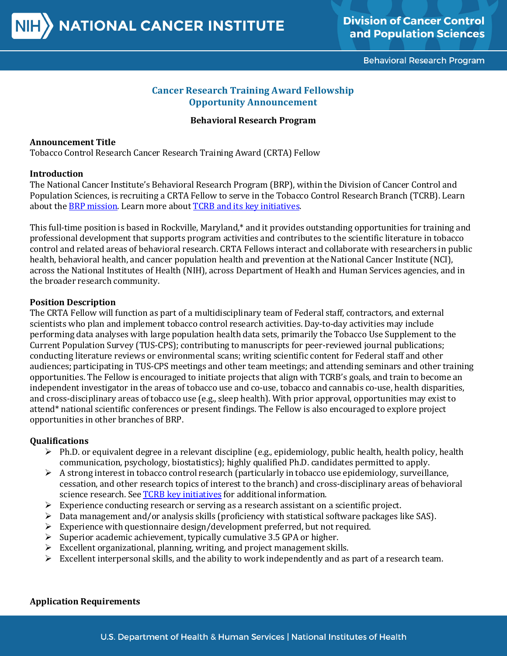

**Behavioral Research Program** 

# **Cancer Research Training Award Fellowship Opportunity Announcement**

# **Behavioral Research Program**

#### **Announcement Title**

Tobacco Control Research Cancer Research Training Award (CRTA) Fellow

#### **Introduction**

The National Cancer Institute's Behavioral Research Program (BRP), within the Division of Cancer Control and Population Sciences, is recruiting a CRTA Fellow to serve in the Tobacco Control Research Branch (TCRB). Learn about th[e BRP mission.](https://cancercontrol.cancer.gov/brp) Learn more about [TCRB and its key initiatives.](https://cancercontrol.cancer.gov/brp/tcrb) 

This full-time position is based in Rockville, Maryland,\* and it provides outstanding opportunities for training and professional development that supports program activities and contributes to the scientific literature in tobacco control and related areas of behavioral research. CRTA Fellows interact and collaborate with researchers in public health, behavioral health, and cancer population health and prevention at the National Cancer Institute (NCI), across the National Institutes of Health (NIH), across Department of Health and Human Services agencies, and in the broader research community.

#### **Position Description**

The CRTA Fellow will function as part of a multidisciplinary team of Federal staff, contractors, and external scientists who plan and implement tobacco control research activities. Day-to-day activities may include performing data analyses with large population health data sets, primarily the Tobacco Use Supplement to the Current Population Survey (TUS-CPS); contributing to manuscripts for peer-reviewed journal publications; conducting literature reviews or environmental scans; writing scientific content for Federal staff and other audiences; participating in TUS-CPS meetings and other team meetings; and attending seminars and other training opportunities. The Fellow is encouraged to initiate projects that align with TCRB's goals, and train to become an independent investigator in the areas of tobacco use and co-use, tobacco and cannabis co-use, health disparities, and cross-disciplinary areas of tobacco use (e.g., sleep health). With prior approval, opportunities may exist to attend\* national scientific conferences or present findings. The Fellow is also encouraged to explore project opportunities in other branches of BRP.

## **Qualifications**

- $\triangleright$  Ph.D. or equivalent degree in a relevant discipline (e.g., epidemiology, public health, health policy, health communication, psychology, biostatistics); highly qualified Ph.D. candidates permitted to apply.
- A strong interest in tobacco control research (particularly in tobacco use epidemiology, surveillance, cessation, and other research topics of interest to the branch) and cross-disciplinary areas of behavioral science research. See [TCRB key initiatives](https://cancercontrol.cancer.gov/brp/tcrb/key-initiatives) for additional information.
- Experience conducting research or serving as a research assistant on a scientific project.
- Data management and/or analysis skills (proficiency with statistical software packages like SAS).
- $\triangleright$  Experience with questionnaire design/development preferred, but not required.
- $\triangleright$  Superior academic achievement, typically cumulative 3.5 GPA or higher.
- $\triangleright$  Excellent organizational, planning, writing, and project management skills.
- $\triangleright$  Excellent interpersonal skills, and the ability to work independently and as part of a research team.

## **Application Requirements**